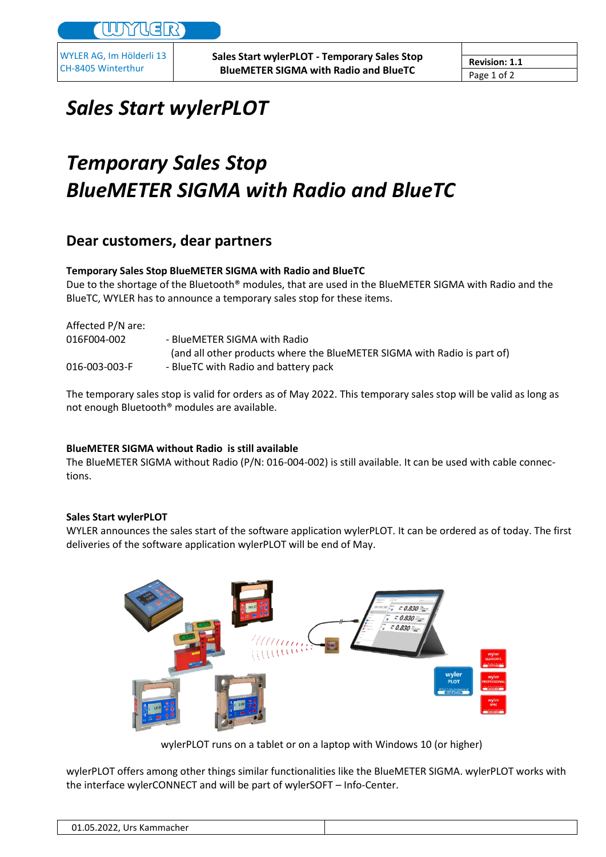WYLER AG, Im Hölderli 13 CH-8405 Winterthur

## *Sales Start wylerPLOT*

# *Temporary Sales Stop BlueMETER SIGMA with Radio and BlueTC*

### **Dear customers, dear partners**

#### **Temporary Sales Stop BlueMETER SIGMA with Radio and BlueTC**

Due to the shortage of the Bluetooth® modules, that are used in the BlueMETER SIGMA with Radio and the BlueTC, WYLER has to announce a temporary sales stop for these items.

| Affected P/N are: |                                                                          |
|-------------------|--------------------------------------------------------------------------|
| 016F004-002       | - BlueMETER SIGMA with Radio                                             |
|                   | (and all other products where the BlueMETER SIGMA with Radio is part of) |
| 016-003-003-F     | - BlueTC with Radio and battery pack                                     |
|                   |                                                                          |

The temporary sales stop is valid for orders as of May 2022. This temporary sales stop will be valid as long as not enough Bluetooth® modules are available.

#### **BlueMETER SIGMA without Radio is still available**

The BlueMETER SIGMA without Radio (P/N: 016-004-002) is still available. It can be used with cable connections.

#### **Sales Start wylerPLOT**

WYLER announces the sales start of the software application wylerPLOT. It can be ordered as of today. The first deliveries of the software application wylerPLOT will be end of May.



wylerPLOT runs on a tablet or on a laptop with Windows 10 (or higher)

wylerPLOT offers among other things similar functionalities like the BlueMETER SIGMA. wylerPLOT works with the interface wylerCONNECT and will be part of wylerSOFT – Info-Center.

| 01.05.2022,<br>. Urs Kammacher |
|--------------------------------|
|--------------------------------|